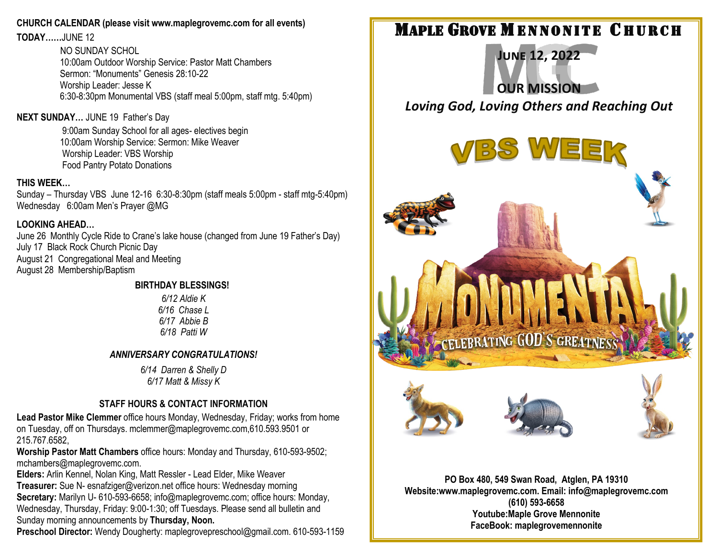#### **CHURCH CALENDAR (please visit www.maplegrovemc.com for all events)**

**TODAY……**JUNE 12

NO SUNDAY SCHOL 10:00am Outdoor Worship Service: Pastor Matt Chambers Sermon: "Monuments" Genesis 28:10-22 Worship Leader: Jesse K 6:30-8:30pm Monumental VBS (staff meal 5:00pm, staff mtg. 5:40pm)

#### **NEXT SUNDAY…** JUNE 19 Father's Day

9:00am Sunday School for all ages- electives begin 10:00am Worship Service: Sermon: Mike Weaver Worship Leader: VBS Worship Food Pantry Potato Donations

#### **THIS WEEK…**

Sunday – Thursday VBS June 12-16 6:30-8:30pm (staff meals 5:00pm - staff mtg-5:40pm) Wednesday 6:00am Men's Prayer @MG

#### **LOOKING AHEAD…**

June 26 Monthly Cycle Ride to Crane's lake house (changed from June 19 Father's Day) July 17 Black Rock Church Picnic Day August 21 Congregational Meal and Meeting August 28 Membership/Baptism

#### **BIRTHDAY BLESSINGS!**

*6/12 Aldie K 6/16 Chase L 6/17 Abbie B 6/18 Patti W*

### *ANNIVERSARY CONGRATULATIONS!*

*6/14 Darren & Shelly D 6/17 Matt & Missy K*

### **STAFF HOURS & CONTACT INFORMATION**

**Lead Pastor Mike Clemmer** office hours Monday, Wednesday, Friday; works from home on Tuesday, off on Thursdays. mclemmer@maplegrovemc.com,610.593.9501 or 215.767.6582,

**Worship Pastor Matt Chambers** office hours: Monday and Thursday, 610-593-9502; mchambers@maplegrovemc.com.

**Elders:** Arlin Kennel, Nolan King, Matt Ressler - Lead Elder, Mike Weaver **Treasurer:** Sue N- esnafziger@verizon.net office hours: Wednesday morning **Secretary:** Marilyn U- 610-593-6658; info@maplegrovemc.com; office hours: Monday, Wednesday, Thursday, Friday: 9:00-1:30; off Tuesdays. Please send all bulletin and Sunday morning announcements by **Thursday, Noon.**

**Preschool Director:** Wendy Dougherty: maplegrovepreschool@gmail.com. 610-593-1159

# **MAPLE GROVE MENNONITE CHURCH**

**June 12, 2022 OUR MISSION** *Loving God, Loving Others and Reaching Out*



**PO Box 480, 549 Swan Road, Atglen, PA 19310 Website:www.maplegrovemc.com. Email: info@maplegrovemc.com (610) 593-6658 Youtube:Maple Grove Mennonite FaceBook: maplegrovemennonite**